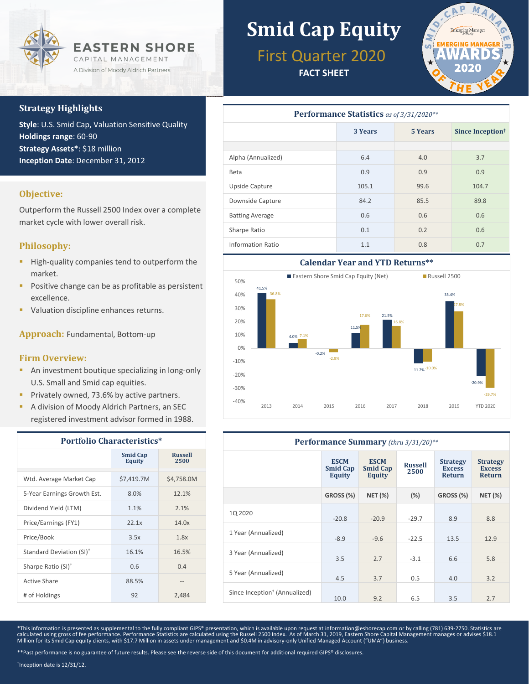

### **Strategy Highlights**

**Style**: U.S. Smid Cap, Valuation Sensitive Quality **Holdings range**: 60-90 **Strategy Assets\***: \$18 million **Inception Date**: December 31, 2012

### **Objective:**

Outperform the Russell 2500 Index over a complete market cycle with lower overall risk.

### **Philosophy:**

- **High-quality companies tend to outperform the** market.
- **Positive change can be as profitable as persistent** excellence.
- **Valuation discipline enhances returns.**

**Approach:** Fundamental, Bottom-up

### **Firm Overview:**

- **An investment boutique specializing in long-only** U.S. Small and Smid cap equities.
- **Privately owned, 73.6% by active partners.**
- **A division of Moody Aldrich Partners, an SEC** registered investment advisor formed in 1988.

| <b>Portfolio Characteristics*</b>    |                           |                        |  |  |
|--------------------------------------|---------------------------|------------------------|--|--|
|                                      | <b>Smid Cap</b><br>Equity | <b>Russell</b><br>2500 |  |  |
| Wtd. Average Market Cap              | \$7,419.7M                | \$4.758.0M             |  |  |
| 5-Year Earnings Growth Est.          | 8.0%                      | 12.1%                  |  |  |
| Dividend Yield (LTM)                 | 1.1%                      | 2.1%                   |  |  |
| Price/Earnings (FY1)                 | 22.1x                     | 14.0x                  |  |  |
| Price/Book                           | 3.5x                      | 1.8x                   |  |  |
| Standard Deviation (SI) <sup>+</sup> | 16.1%                     | 16.5%                  |  |  |
| Sharpe Ratio (SI) <sup>+</sup>       | 0.6                       | 0.4                    |  |  |
| Active Share                         | 88.5%                     |                        |  |  |
| # of Holdings                        | 92                        | 2,484                  |  |  |

# **Smid Cap Equity**

First Quarter 2020

**FACT SHEET**



| Performance Statistics as of 3/31/2020** |                    |      |                              |  |  |  |
|------------------------------------------|--------------------|------|------------------------------|--|--|--|
|                                          | 3 Years<br>5 Years |      | Since Inception <sup>†</sup> |  |  |  |
|                                          |                    |      |                              |  |  |  |
| Alpha (Annualized)                       | 6.4                | 4.0  | 3.7                          |  |  |  |
| Beta                                     | 0.9                | 0.9  | 0.9                          |  |  |  |
| Upside Capture                           | 105.1              | 99.6 | 104.7                        |  |  |  |
| Downside Capture                         | 84.2               | 85.5 | 89.8                         |  |  |  |
| <b>Batting Average</b>                   | 0.6                | 0.6  | 0.6                          |  |  |  |
| Sharpe Ratio                             | 0.1                | 0.2  | 0.6                          |  |  |  |
| <b>Information Ratio</b>                 | 1.1                | 0.8  | 0.7                          |  |  |  |



| Performance Summary (thru 3/31/20)**      |                                          |                                          |                        |                                                   |                                                   |  |
|-------------------------------------------|------------------------------------------|------------------------------------------|------------------------|---------------------------------------------------|---------------------------------------------------|--|
|                                           | <b>ESCM</b><br><b>Smid Cap</b><br>Equity | <b>ESCM</b><br><b>Smid Cap</b><br>Equity | <b>Russell</b><br>2500 | <b>Strategy</b><br><b>Excess</b><br><b>Return</b> | <b>Strategy</b><br><b>Excess</b><br><b>Return</b> |  |
|                                           | GROSS (%)                                | <b>NET (%)</b>                           | (%)                    | GROSS (%)                                         | <b>NET (%)</b>                                    |  |
| 1Q 2020                                   | $-20.8$                                  | $-20.9$                                  | $-29.7$                | 8.9                                               | 8.8                                               |  |
| 1 Year (Annualized)                       | $-8.9$                                   | $-9.6$                                   | $-22.5$                | 13.5                                              | 12.9                                              |  |
| 3 Year (Annualized)                       | 3.5                                      | 2.7                                      | $-3.1$                 | 6.6                                               | 5.8                                               |  |
| 5 Year (Annualized)                       | 4.5                                      | 3.7                                      | 0.5                    | 4.0                                               | 3.2                                               |  |
| Since Inception <sup>†</sup> (Annualized) | 10.0                                     | 9.2                                      | 6.5                    | 3.5                                               | 2.7                                               |  |

\*This information is presented as supplemental to the fully compliant GIPS® presentation, which is available upon request at information@eshorecap.com or by calling (781) 639-2750. Statistics are calculated using gross of fee performance. Performance Statistics are calculated using the Russell 2500 Index. As of March 31, 2019, Eastern Shore Capital Management manages or advises \$18.1<br>Million for its Smid Cap equity

\*\*Past performance is no guarantee of future results. Please see the reverse side of this document for additional required GIPS® disclosures.

† Inception date is 12/31/12.